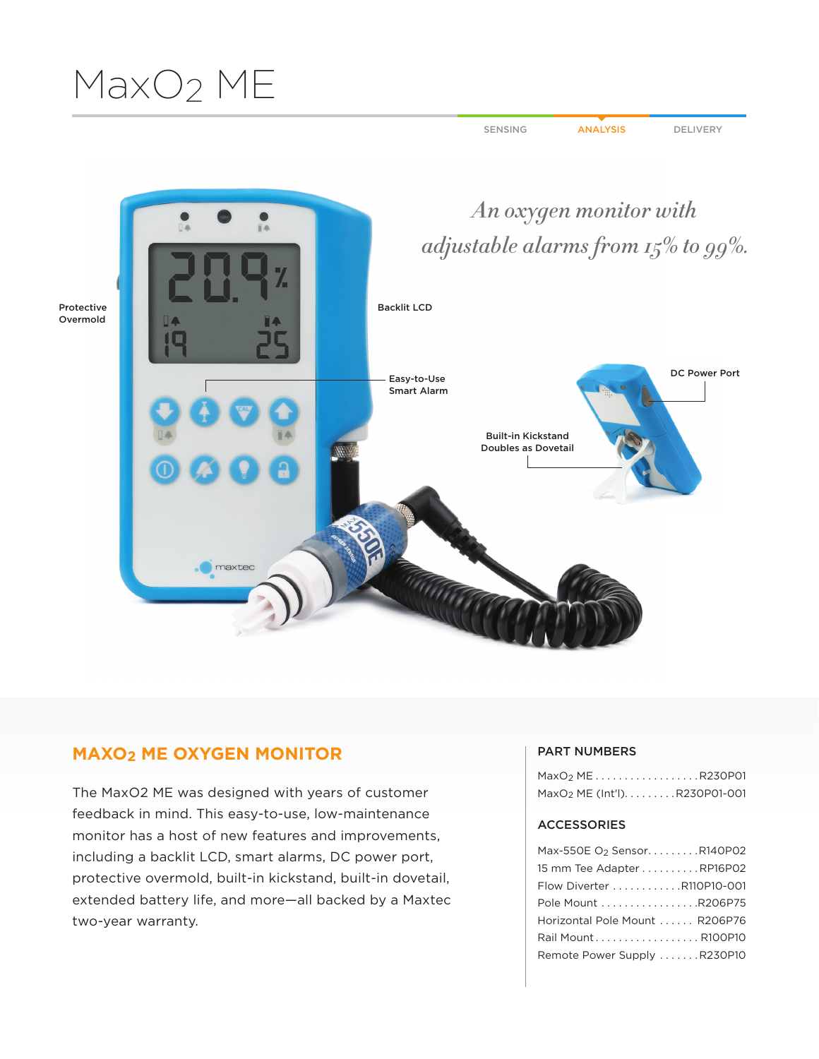# MaxO2 ME

SENSING ANALYSIS DELIVERY



## **MAXO2 ME OXYGEN MONITOR**

The MaxO2 ME was designed with years of customer feedback in mind. This easy-to-use, low-maintenance monitor has a host of new features and improvements, including a backlit LCD, smart alarms, DC power port, protective overmold, built-in kickstand, built-in dovetail, extended battery life, and more—all backed by a Maxtec two-year warranty.

#### PART NUMBERS

|  |  |  |  | MaxO <sub>2</sub> MER230P01               |
|--|--|--|--|-------------------------------------------|
|  |  |  |  | MaxO <sub>2</sub> ME (Int'l). R230P01-001 |

### ACCESSORIES

| Max-550E O2 Sensor. R140P02    |
|--------------------------------|
| 15 mm Tee Adapter RP16P02      |
| Flow Diverter R110P10-001      |
| Pole Mount R206P75             |
| Horizontal Pole Mount  R206P76 |
| Rail MountR100P10              |
| Remote Power Supply R230P10    |